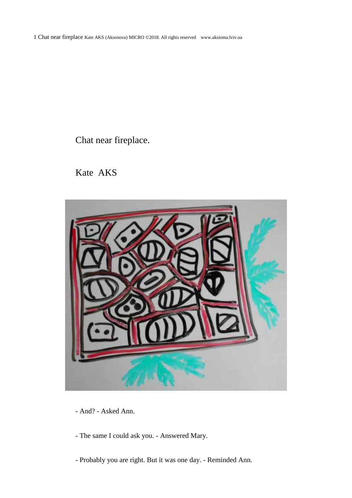1 Chat near fireplace Kate AKS (Aksonova) MICRO ©2018. All rights reserved www.aksioma.lviv.ua

Chat near fireplace.

Kate AKS



- And? Asked Ann.
- The same I could ask you. Answered Mary.
- Probably you are right. But it was one day. Reminded Ann.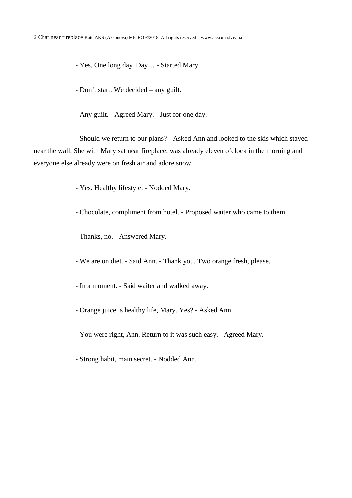- Yes. One long day. Day… - Started Mary.

- Don't start. We decided – any guilt.

- Any guilt. - Agreed Mary. - Just for one day.

- Should we return to our plans? - Asked Ann and looked to the skis which stayed near the wall. She with Mary sat near fireplace, was already eleven o'clock in the morning and everyone else already were on fresh air and adore snow.

- Yes. Healthy lifestyle. - Nodded Mary.

- Chocolate, compliment from hotel. Proposed waiter who came to them.
- Thanks, no. Answered Mary.
- We are on diet. Said Ann. Thank you. Two orange fresh, please.
- In a moment. Said waiter and walked away.
- Orange juice is healthy life, Mary. Yes? Asked Ann.
- You were right, Ann. Return to it was such easy. Agreed Mary.
- Strong habit, main secret. Nodded Ann.